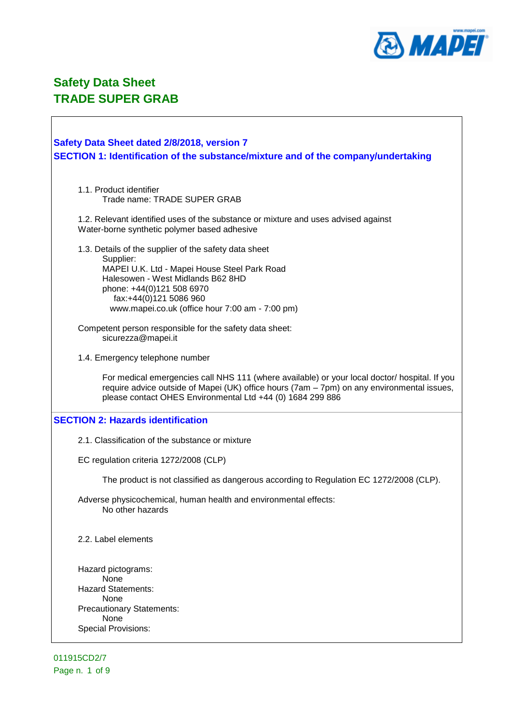

 $\sqrt{ }$ 

| Safety Data Sheet dated 2/8/2018, version 7<br>SECTION 1: Identification of the substance/mixture and of the company/undertaking                                                                                                                          |
|-----------------------------------------------------------------------------------------------------------------------------------------------------------------------------------------------------------------------------------------------------------|
| 1.1. Product identifier<br>Trade name: TRADE SUPER GRAB                                                                                                                                                                                                   |
| 1.2. Relevant identified uses of the substance or mixture and uses advised against<br>Water-borne synthetic polymer based adhesive                                                                                                                        |
| 1.3. Details of the supplier of the safety data sheet<br>Supplier:<br>MAPEI U.K. Ltd - Mapei House Steel Park Road<br>Halesowen - West Midlands B62 8HD<br>phone: +44(0)121 508 6970<br>fax:+44(0)121 5086 960                                            |
| www.mapei.co.uk (office hour 7:00 am - 7:00 pm)                                                                                                                                                                                                           |
| Competent person responsible for the safety data sheet:<br>sicurezza@mapei.it                                                                                                                                                                             |
| 1.4. Emergency telephone number                                                                                                                                                                                                                           |
| For medical emergencies call NHS 111 (where available) or your local doctor/ hospital. If you<br>require advice outside of Mapei (UK) office hours (7am - 7pm) on any environmental issues,<br>please contact OHES Environmental Ltd +44 (0) 1684 299 886 |
| <b>SECTION 2: Hazards identification</b>                                                                                                                                                                                                                  |
| 2.1. Classification of the substance or mixture                                                                                                                                                                                                           |
| EC regulation criteria 1272/2008 (CLP)                                                                                                                                                                                                                    |
| The product is not classified as dangerous according to Regulation EC 1272/2008 (CLP).                                                                                                                                                                    |
| Adverse physicochemical, human health and environmental effects:<br>No other hazards                                                                                                                                                                      |
| 2.2. Label elements                                                                                                                                                                                                                                       |
| Hazard pictograms:                                                                                                                                                                                                                                        |
| None<br><b>Hazard Statements:</b>                                                                                                                                                                                                                         |
| None                                                                                                                                                                                                                                                      |
| <b>Precautionary Statements:</b><br>None                                                                                                                                                                                                                  |
| <b>Special Provisions:</b>                                                                                                                                                                                                                                |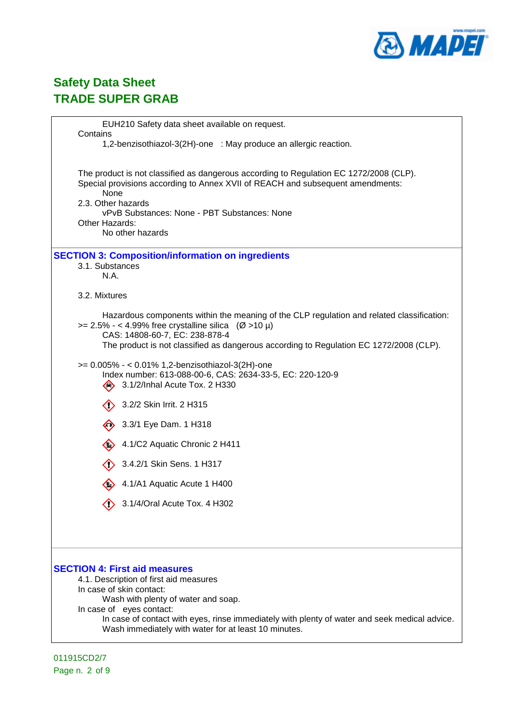

| EUH210 Safety data sheet available on request.<br>Contains                                                                                                                                                                                                                                                                             |
|----------------------------------------------------------------------------------------------------------------------------------------------------------------------------------------------------------------------------------------------------------------------------------------------------------------------------------------|
| 1,2-benzisothiazol-3(2H)-one : May produce an allergic reaction.                                                                                                                                                                                                                                                                       |
| The product is not classified as dangerous according to Regulation EC 1272/2008 (CLP).<br>Special provisions according to Annex XVII of REACH and subsequent amendments:<br>None<br>2.3. Other hazards<br>vPvB Substances: None - PBT Substances: None<br>Other Hazards:<br>No other hazards                                           |
| <b>SECTION 3: Composition/information on ingredients</b><br>3.1. Substances<br>N.A.                                                                                                                                                                                                                                                    |
| 3.2. Mixtures                                                                                                                                                                                                                                                                                                                          |
| Hazardous components within the meaning of the CLP regulation and related classification:<br>$>= 2.5\% - < 4.99\%$ free crystalline silica (Ø >10 µ)<br>CAS: 14808-60-7, EC: 238-878-4<br>The product is not classified as dangerous according to Regulation EC 1272/2008 (CLP).                                                       |
| >= 0.005% - < 0.01% 1,2-benzisothiazol-3(2H)-one<br>Index number: 613-088-00-6, CAS: 2634-33-5, EC: 220-120-9<br>3.1/2/Inhal Acute Tox. 2 H330<br>◇                                                                                                                                                                                    |
| 3.2/2 Skin Irrit. 2 H315                                                                                                                                                                                                                                                                                                               |
| 3.3/1 Eye Dam. 1 H318                                                                                                                                                                                                                                                                                                                  |
| 4.1/C2 Aquatic Chronic 2 H411                                                                                                                                                                                                                                                                                                          |
| 3.4.2/1 Skin Sens. 1 H317                                                                                                                                                                                                                                                                                                              |
| 4.1/A1 Aquatic Acute 1 H400                                                                                                                                                                                                                                                                                                            |
| 3.1/4/Oral Acute Tox. 4 H302                                                                                                                                                                                                                                                                                                           |
| <b>SECTION 4: First aid measures</b><br>4.1. Description of first aid measures<br>In case of skin contact:<br>Wash with plenty of water and soap.<br>In case of eyes contact:<br>In case of contact with eyes, rinse immediately with plenty of water and seek medical advice.<br>Wash immediately with water for at least 10 minutes. |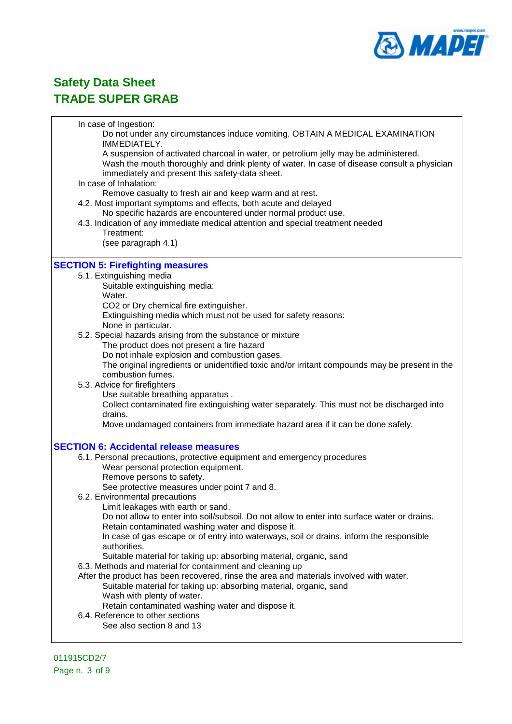

In case of Ingestion: Do not under any circumstances induce vomiting. OBTAIN A MEDICAL EXAMINATION IMMEDIATELY. A suspension of activated charcoal in water, or petrolium jelly may be administered. Wash the mouth thoroughly and drink plenty of water. In case of disease consult a physician immediately and present this safety-data sheet. In case of Inhalation: Remove casualty to fresh air and keep warm and at rest. 4.2. Most important symptoms and effects, both acute and delayed No specific hazards are encountered under normal product use. 4.3. Indication of any immediate medical attention and special treatment needed Treatment: (see paragraph 4.1) **SECTION 5: Firefighting measures** 5.1. Extinguishing media Suitable extinguishing media: Water. CO2 or Dry chemical fire extinguisher. Extinguishing media which must not be used for safety reasons: None in particular. 5.2. Special hazards arising from the substance or mixture The product does not present a fire hazard Do not inhale explosion and combustion gases. The original ingredients or unidentified toxic and/or irritant compounds may be present in the combustion fumes. 5.3. Advice for firefighters Use suitable breathing apparatus . Collect contaminated fire extinguishing water separately. This must not be discharged into drains. Move undamaged containers from immediate hazard area if it can be done safely. **SECTION 6: Accidental release measures** 6.1. Personal precautions, protective equipment and emergency procedures Wear personal protection equipment. Remove persons to safety. See protective measures under point 7 and 8. 6.2. Environmental precautions Limit leakages with earth or sand. Do not allow to enter into soil/subsoil. Do not allow to enter into surface water or drains. Retain contaminated washing water and dispose it. In case of gas escape or of entry into waterways, soil or drains, inform the responsible authorities. Suitable material for taking up: absorbing material, organic, sand 6.3. Methods and material for containment and cleaning up After the product has been recovered, rinse the area and materials involved with water. Suitable material for taking up: absorbing material, organic, sand Wash with plenty of water. Retain contaminated washing water and dispose it. 6.4. Reference to other sections See also section 8 and 13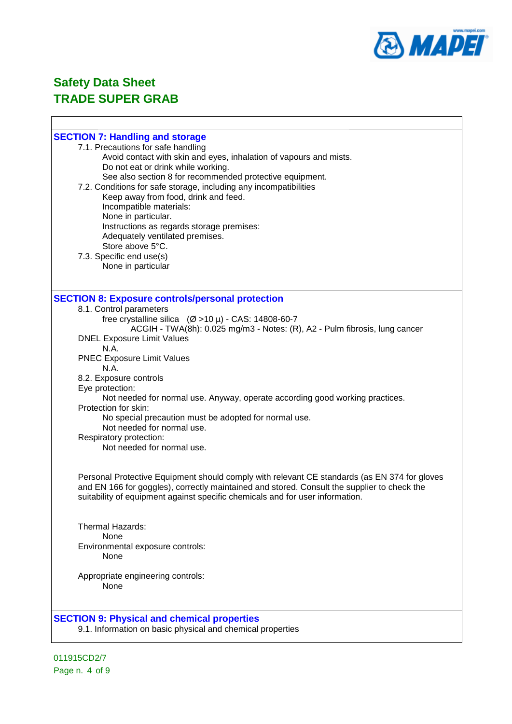

 $\overline{\phantom{a}}$ 

### **Safety Data Sheet TRADE SUPER GRAB**

 $\Gamma$ 

| <b>SECTION 7: Handling and storage</b>                                                                                                                                                      |
|---------------------------------------------------------------------------------------------------------------------------------------------------------------------------------------------|
| 7.1. Precautions for safe handling                                                                                                                                                          |
| Avoid contact with skin and eyes, inhalation of vapours and mists.                                                                                                                          |
| Do not eat or drink while working.                                                                                                                                                          |
| See also section 8 for recommended protective equipment.                                                                                                                                    |
| 7.2. Conditions for safe storage, including any incompatibilities                                                                                                                           |
| Keep away from food, drink and feed.                                                                                                                                                        |
| Incompatible materials:                                                                                                                                                                     |
| None in particular.                                                                                                                                                                         |
| Instructions as regards storage premises:<br>Adequately ventilated premises.                                                                                                                |
| Store above 5°C.                                                                                                                                                                            |
| 7.3. Specific end use(s)                                                                                                                                                                    |
| None in particular                                                                                                                                                                          |
|                                                                                                                                                                                             |
|                                                                                                                                                                                             |
| <b>SECTION 8: Exposure controls/personal protection</b>                                                                                                                                     |
| 8.1. Control parameters                                                                                                                                                                     |
| free crystalline silica $(Ø > 10 \mu) - CAS$ : 14808-60-7                                                                                                                                   |
| ACGIH - TWA(8h): 0.025 mg/m3 - Notes: (R), A2 - Pulm fibrosis, lung cancer                                                                                                                  |
| <b>DNEL Exposure Limit Values</b><br>N.A.                                                                                                                                                   |
| <b>PNEC Exposure Limit Values</b>                                                                                                                                                           |
| N.A.                                                                                                                                                                                        |
| 8.2. Exposure controls                                                                                                                                                                      |
| Eye protection:                                                                                                                                                                             |
| Not needed for normal use. Anyway, operate according good working practices.                                                                                                                |
| Protection for skin:                                                                                                                                                                        |
| No special precaution must be adopted for normal use.                                                                                                                                       |
| Not needed for normal use.                                                                                                                                                                  |
| Respiratory protection:                                                                                                                                                                     |
| Not needed for normal use.                                                                                                                                                                  |
|                                                                                                                                                                                             |
|                                                                                                                                                                                             |
| Personal Protective Equipment should comply with relevant CE standards (as EN 374 for gloves<br>and EN 166 for goggles), correctly maintained and stored. Consult the supplier to check the |
| suitability of equipment against specific chemicals and for user information.                                                                                                               |
|                                                                                                                                                                                             |
|                                                                                                                                                                                             |
| Thermal Hazards:                                                                                                                                                                            |
| <b>None</b>                                                                                                                                                                                 |
| Environmental exposure controls:                                                                                                                                                            |
| None                                                                                                                                                                                        |
| Appropriate engineering controls:                                                                                                                                                           |
| None                                                                                                                                                                                        |
|                                                                                                                                                                                             |
|                                                                                                                                                                                             |
| <b>SECTION 9: Physical and chemical properties</b>                                                                                                                                          |
| 9.1. Information on basic physical and chemical properties                                                                                                                                  |
|                                                                                                                                                                                             |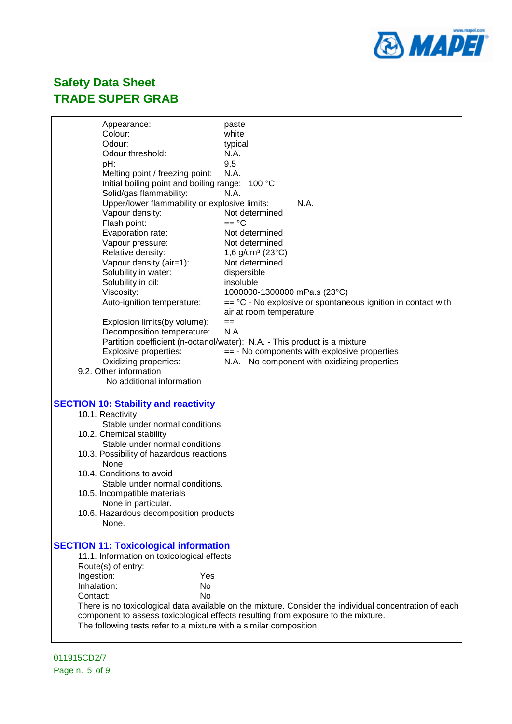

| Appearance:                                                       | paste                                                                                                  |
|-------------------------------------------------------------------|--------------------------------------------------------------------------------------------------------|
| Colour:                                                           | white                                                                                                  |
| Odour:                                                            | typical                                                                                                |
| Odour threshold:                                                  | N.A.                                                                                                   |
| pH:                                                               | 9,5                                                                                                    |
| Melting point / freezing point:                                   | N.A.                                                                                                   |
| Initial boiling point and boiling range:                          | 100 °C                                                                                                 |
| Solid/gas flammability:                                           | N.A.                                                                                                   |
| Upper/lower flammability or explosive limits:                     | N.A.                                                                                                   |
| Vapour density:                                                   | Not determined                                                                                         |
| Flash point:                                                      | $==$ °C                                                                                                |
| Evaporation rate:                                                 | Not determined                                                                                         |
| Vapour pressure:                                                  | Not determined                                                                                         |
| Relative density:                                                 | 1,6 g/cm <sup>3</sup> (23 $^{\circ}$ C)                                                                |
| Vapour density (air=1):                                           | Not determined                                                                                         |
| Solubility in water:                                              | dispersible                                                                                            |
| Solubility in oil:                                                | insoluble                                                                                              |
| Viscosity:                                                        | 1000000-1300000 mPa.s (23°C)                                                                           |
| Auto-ignition temperature:                                        | $=$ $^{\circ}$ C - No explosive or spontaneous ignition in contact with                                |
|                                                                   | air at room temperature                                                                                |
| Explosion limits(by volume):                                      | $==$                                                                                                   |
| Decomposition temperature:                                        | N.A.                                                                                                   |
|                                                                   | Partition coefficient (n-octanol/water): N.A. - This product is a mixture                              |
| Explosive properties:                                             | $== - No$ components with explosive properties                                                         |
| Oxidizing properties:                                             | N.A. - No component with oxidizing properties                                                          |
| 9.2. Other information                                            |                                                                                                        |
| No additional information                                         |                                                                                                        |
| <b>SECTION 10: Stability and reactivity</b>                       |                                                                                                        |
| 10.1. Reactivity                                                  |                                                                                                        |
| Stable under normal conditions                                    |                                                                                                        |
| 10.2. Chemical stability                                          |                                                                                                        |
| Stable under normal conditions                                    |                                                                                                        |
| 10.3. Possibility of hazardous reactions                          |                                                                                                        |
| None                                                              |                                                                                                        |
| 10.4. Conditions to avoid                                         |                                                                                                        |
| Stable under normal conditions.                                   |                                                                                                        |
| 10.5. Incompatible materials                                      |                                                                                                        |
| None in particular.                                               |                                                                                                        |
| 10.6. Hazardous decomposition products                            |                                                                                                        |
| None.                                                             |                                                                                                        |
|                                                                   |                                                                                                        |
| <b>SECTION 11: Toxicological information</b>                      |                                                                                                        |
| 11.1. Information on toxicological effects                        |                                                                                                        |
| Route(s) of entry:                                                |                                                                                                        |
| Ingestion:<br>Yes                                                 |                                                                                                        |
| Inhalation:<br>No                                                 |                                                                                                        |
| <b>No</b><br>Contact:                                             |                                                                                                        |
|                                                                   | There is no toxicological data available on the mixture. Consider the individual concentration of each |
|                                                                   |                                                                                                        |
|                                                                   |                                                                                                        |
| The following tests refer to a mixture with a similar composition | component to assess toxicological effects resulting from exposure to the mixture.                      |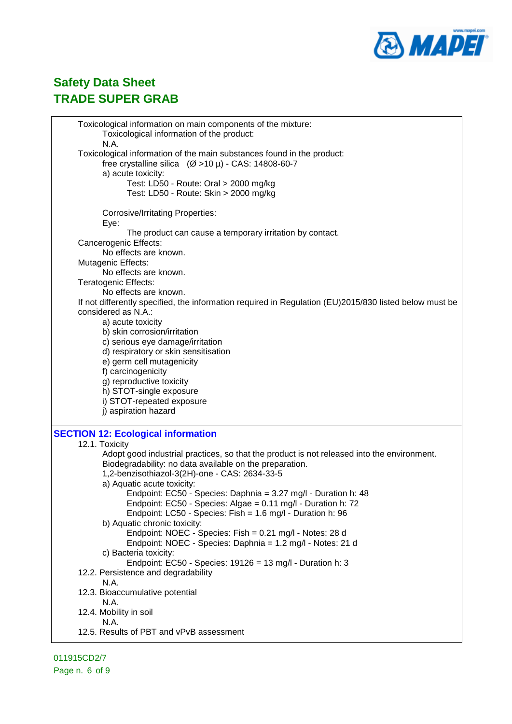

| Toxicological information on main components of the mixture:                                           |
|--------------------------------------------------------------------------------------------------------|
| Toxicological information of the product:                                                              |
| N.A.                                                                                                   |
| Toxicological information of the main substances found in the product:                                 |
| free crystalline silica $(Ø > 10 \mu)$ - CAS: 14808-60-7                                               |
| a) acute toxicity:                                                                                     |
| Test: LD50 - Route: Oral > 2000 mg/kg                                                                  |
|                                                                                                        |
| Test: LD50 - Route: Skin > 2000 mg/kg                                                                  |
|                                                                                                        |
| <b>Corrosive/Irritating Properties:</b>                                                                |
| Eye:                                                                                                   |
| The product can cause a temporary irritation by contact.                                               |
| Cancerogenic Effects:                                                                                  |
| No effects are known.                                                                                  |
| Mutagenic Effects:                                                                                     |
| No effects are known.                                                                                  |
| Teratogenic Effects:                                                                                   |
| No effects are known.                                                                                  |
| If not differently specified, the information required in Regulation (EU)2015/830 listed below must be |
| considered as N.A.:                                                                                    |
| a) acute toxicity                                                                                      |
| b) skin corrosion/irritation                                                                           |
| c) serious eye damage/irritation                                                                       |
| d) respiratory or skin sensitisation                                                                   |
|                                                                                                        |
| e) germ cell mutagenicity                                                                              |
| f) carcinogenicity                                                                                     |
| g) reproductive toxicity                                                                               |
| h) STOT-single exposure                                                                                |
| i) STOT-repeated exposure                                                                              |
| j) aspiration hazard                                                                                   |
|                                                                                                        |
| <b>SECTION 12: Ecological information</b>                                                              |
| 12.1. Toxicity                                                                                         |
| Adopt good industrial practices, so that the product is not released into the environment.             |
| Biodegradability: no data available on the preparation.                                                |
| 1,2-benzisothiazol-3(2H)-one - CAS: 2634-33-5                                                          |
| a) Aquatic acute toxicity:                                                                             |
| Endpoint: EC50 - Species: Daphnia = 3.27 mg/l - Duration h: 48                                         |
| Endpoint: EC50 - Species: Algae = $0.11$ mg/l - Duration h: 72                                         |
| Endpoint: LC50 - Species: Fish = 1.6 mg/l - Duration h: 96                                             |
| b) Aquatic chronic toxicity:                                                                           |
| Endpoint: NOEC - Species: Fish = 0.21 mg/l - Notes: 28 d                                               |
| Endpoint: NOEC - Species: Daphnia = 1.2 mg/l - Notes: 21 d                                             |
| c) Bacteria toxicity:                                                                                  |
| Endpoint: EC50 - Species: $19126 = 13$ mg/l - Duration h: 3                                            |
|                                                                                                        |
| 12.2. Persistence and degradability                                                                    |
| N.A.                                                                                                   |
| 12.3. Bioaccumulative potential                                                                        |
| N.A.                                                                                                   |
| 12.4. Mobility in soil                                                                                 |
| N.A.                                                                                                   |
| 12.5. Results of PBT and vPvB assessment                                                               |
|                                                                                                        |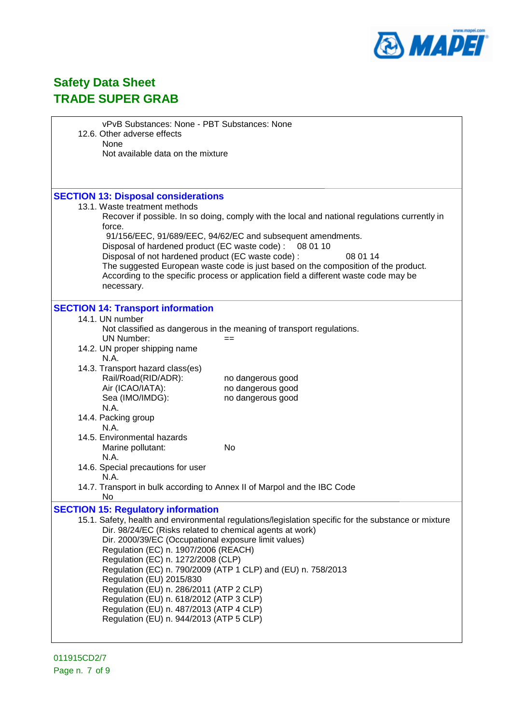

|                                         | vPvB Substances: None - PBT Substances: None<br>12.6. Other adverse effects                             |                                                                                                      |  |  |  |
|-----------------------------------------|---------------------------------------------------------------------------------------------------------|------------------------------------------------------------------------------------------------------|--|--|--|
|                                         | None                                                                                                    |                                                                                                      |  |  |  |
|                                         | Not available data on the mixture                                                                       |                                                                                                      |  |  |  |
|                                         |                                                                                                         |                                                                                                      |  |  |  |
|                                         |                                                                                                         |                                                                                                      |  |  |  |
|                                         | <b>SECTION 13: Disposal considerations</b>                                                              |                                                                                                      |  |  |  |
|                                         | 13.1. Waste treatment methods                                                                           |                                                                                                      |  |  |  |
|                                         | Recover if possible. In so doing, comply with the local and national regulations currently in<br>force. |                                                                                                      |  |  |  |
|                                         | 91/156/EEC, 91/689/EEC, 94/62/EC and subsequent amendments.                                             |                                                                                                      |  |  |  |
|                                         | Disposal of hardened product (EC waste code) :                                                          | 08 01 10                                                                                             |  |  |  |
|                                         | Disposal of not hardened product (EC waste code) :                                                      | 08 01 14                                                                                             |  |  |  |
|                                         |                                                                                                         | The suggested European waste code is just based on the composition of the product.                   |  |  |  |
|                                         | According to the specific process or application field a different waste code may be<br>necessary.      |                                                                                                      |  |  |  |
|                                         |                                                                                                         |                                                                                                      |  |  |  |
|                                         | <b>SECTION 14: Transport information</b>                                                                |                                                                                                      |  |  |  |
|                                         | 14.1. UN number                                                                                         |                                                                                                      |  |  |  |
|                                         | Not classified as dangerous in the meaning of transport regulations.<br><b>UN Number:</b>               |                                                                                                      |  |  |  |
|                                         | 14.2. UN proper shipping name                                                                           |                                                                                                      |  |  |  |
|                                         | N.A.                                                                                                    |                                                                                                      |  |  |  |
|                                         | 14.3. Transport hazard class(es)                                                                        |                                                                                                      |  |  |  |
|                                         | Rail/Road(RID/ADR):                                                                                     | no dangerous good                                                                                    |  |  |  |
|                                         | Air (ICAO/IATA):<br>Sea (IMO/IMDG):                                                                     | no dangerous good<br>no dangerous good                                                               |  |  |  |
|                                         | N.A.                                                                                                    |                                                                                                      |  |  |  |
|                                         | 14.4. Packing group                                                                                     |                                                                                                      |  |  |  |
|                                         | N.A.                                                                                                    |                                                                                                      |  |  |  |
|                                         | 14.5. Environmental hazards                                                                             |                                                                                                      |  |  |  |
|                                         | No<br>Marine pollutant:<br>N.A.                                                                         |                                                                                                      |  |  |  |
|                                         | 14.6. Special precautions for user                                                                      |                                                                                                      |  |  |  |
|                                         | N.A.                                                                                                    |                                                                                                      |  |  |  |
|                                         | 14.7. Transport in bulk according to Annex II of Marpol and the IBC Code                                |                                                                                                      |  |  |  |
|                                         | No                                                                                                      |                                                                                                      |  |  |  |
|                                         | <b>SECTION 15: Regulatory information</b>                                                               | 15.1. Safety, health and environmental regulations/legislation specific for the substance or mixture |  |  |  |
|                                         | Dir. 98/24/EC (Risks related to chemical agents at work)                                                |                                                                                                      |  |  |  |
|                                         | Dir. 2000/39/EC (Occupational exposure limit values)                                                    |                                                                                                      |  |  |  |
|                                         | Regulation (EC) n. 1907/2006 (REACH)                                                                    |                                                                                                      |  |  |  |
|                                         | Regulation (EC) n. 1272/2008 (CLP)                                                                      |                                                                                                      |  |  |  |
|                                         | Regulation (EC) n. 790/2009 (ATP 1 CLP) and (EU) n. 758/2013<br>Regulation (EU) 2015/830                |                                                                                                      |  |  |  |
|                                         | Regulation (EU) n. 286/2011 (ATP 2 CLP)                                                                 |                                                                                                      |  |  |  |
|                                         | Regulation (EU) n. 618/2012 (ATP 3 CLP)                                                                 |                                                                                                      |  |  |  |
|                                         | Regulation (EU) n. 487/2013 (ATP 4 CLP)                                                                 |                                                                                                      |  |  |  |
| Regulation (EU) n. 944/2013 (ATP 5 CLP) |                                                                                                         |                                                                                                      |  |  |  |
|                                         |                                                                                                         |                                                                                                      |  |  |  |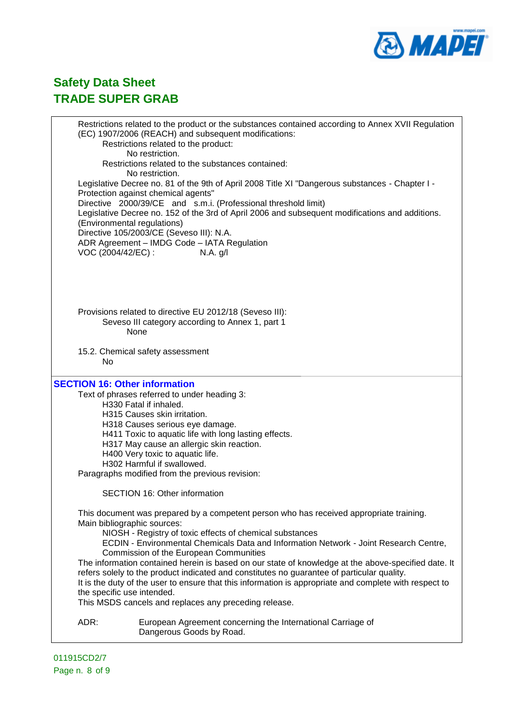

Restrictions related to the product or the substances contained according to Annex XVII Regulation (EC) 1907/2006 (REACH) and subsequent modifications: Restrictions related to the product: No restriction. Restrictions related to the substances contained: No restriction. Legislative Decree no. 81 of the 9th of April 2008 Title XI "Dangerous substances - Chapter I - Protection against chemical agents" Directive 2000/39/CE and s.m.i. (Professional threshold limit) Legislative Decree no. 152 of the 3rd of April 2006 and subsequent modifications and additions. (Environmental regulations) Directive 105/2003/CE (Seveso III): N.A. ADR Agreement – IMDG Code – IATA Regulation VOC (2004/42/EC) : N.A. g/l Provisions related to directive EU 2012/18 (Seveso III): Seveso III category according to Annex 1, part 1 None 15.2. Chemical safety assessment No **SECTION 16: Other information** Text of phrases referred to under heading 3: H330 Fatal if inhaled. H315 Causes skin irritation. H318 Causes serious eye damage. H411 Toxic to aquatic life with long lasting effects. H317 May cause an allergic skin reaction. H400 Very toxic to aquatic life. H302 Harmful if swallowed. Paragraphs modified from the previous revision: SECTION 16: Other information This document was prepared by a competent person who has received appropriate training. Main bibliographic sources: NIOSH - Registry of toxic effects of chemical substances ECDIN - Environmental Chemicals Data and Information Network - Joint Research Centre, Commission of the European Communities The information contained herein is based on our state of knowledge at the above-specified date. It refers solely to the product indicated and constitutes no guarantee of particular quality. It is the duty of the user to ensure that this information is appropriate and complete with respect to the specific use intended. This MSDS cancels and replaces any preceding release. ADR: European Agreement concerning the International Carriage of Dangerous Goods by Road.